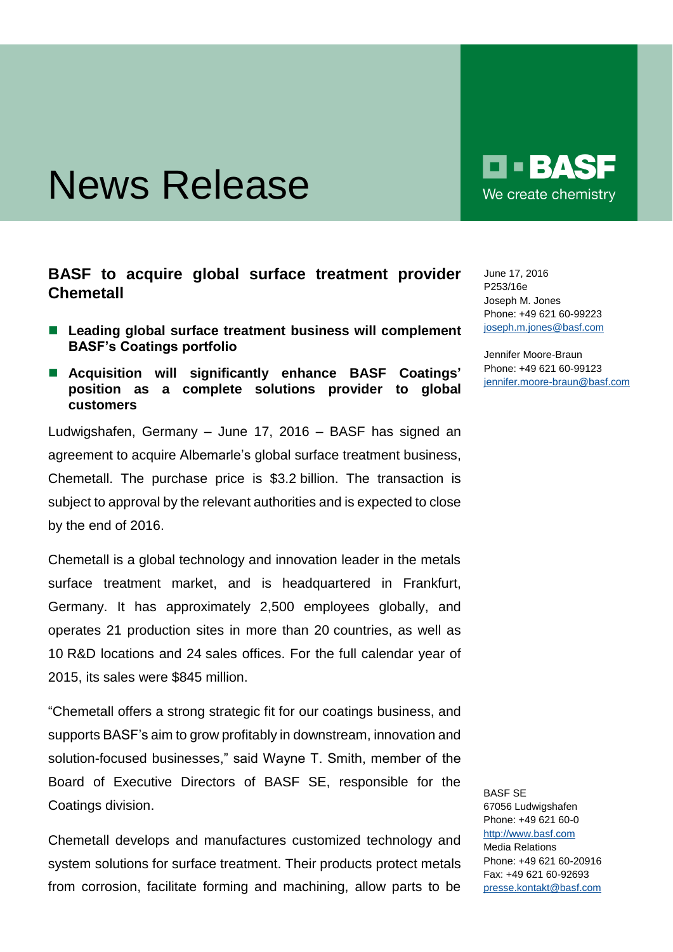## News Release

## **BASF to acquire global surface treatment provider Chemetall**

- Leading global surface treatment business will complement **BASF's Coatings portfolio**
- **Acquisition will significantly enhance BASF Coatings' position as a complete solutions provider to global customers**

Ludwigshafen, Germany – June 17, 2016 – BASF has signed an agreement to acquire Albemarle's global surface treatment business, Chemetall. The purchase price is \$3.2 billion. The transaction is subject to approval by the relevant authorities and is expected to close by the end of 2016.

Chemetall is a global technology and innovation leader in the metals surface treatment market, and is headquartered in Frankfurt, Germany. It has approximately 2,500 employees globally, and operates 21 production sites in more than 20 countries, as well as 10 R&D locations and 24 sales offices. For the full calendar year of 2015, its sales were \$845 million.

"Chemetall offers a strong strategic fit for our coatings business, and supports BASF's aim to grow profitably in downstream, innovation and solution-focused businesses," said Wayne T. Smith, member of the Board of Executive Directors of BASF SE, responsible for the Coatings division.

Chemetall develops and manufactures customized technology and system solutions for surface treatment. Their products protect metals from corrosion, facilitate forming and machining, allow parts to be  $\blacksquare$   $\blacksquare$   $\blacksquare$   $\blacksquare$ We create chemistry

June 17, 2016 P253/16e Joseph M. Jones Phone: +49 621 60-99223 [joseph.m.jones@basf.com](mailto:joseph.m.jones@basf.com)

Jennifer Moore-Braun Phone: +49 621 60-99123 [jennifer.moore-braun@basf.com](mailto:jennifer.moore-braun@basf.com)

BASF SE 67056 Ludwigshafen Phone: +49 621 60-0 [http://www.basf.com](http://www.basf.com/) Media Relations Phone: +49 621 60-20916 Fax: +49 621 60-92693 [presse.kontakt@basf.com](mailto:presse.kontakt@basf.com)